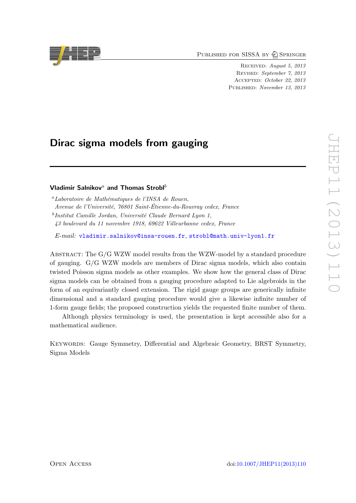PUBLISHED FOR SISSA BY 2 SPRINGER

Received: August 5, 2013 Revised: September 7, 2013 Accepted: October 22, 2013 Published: November 13, 2013

# Dirac sigma models from gauging

## Vladimir Salnikov<sup>a</sup> and Thomas Strobl<sup>b</sup>

 $^a$ Laboratoire de Mathématiques de l'INSA de Rouen, Avenue de l'Université, 76801 Saint-Étienne-du-Rouvray cedex, France <sup>b</sup>Institut Camille Jordan, Université Claude Bernard Lyon 1, 43 boulevard du 11 novembre 1918, 69622 Villeurbanne cedex, France

E-mail: [vladimir.salnikov@insa-rouen.fr](mailto:vladimir.salnikov@insa-rouen.fr), [strobl@math.univ-lyon1.fr](mailto:strobl@math.univ-lyon1.fr)

Abstract: The G/G WZW model results from the WZW-model by a standard procedure of gauging. G/G WZW models are members of Dirac sigma models, which also contain twisted Poisson sigma models as other examples. We show how the general class of Dirac sigma models can be obtained from a gauging procedure adapted to Lie algebroids in the form of an equivariantly closed extension. The rigid gauge groups are generically infinite dimensional and a standard gauging procedure would give a likewise infinite number of 1-form gauge fields; the proposed construction yields the requested finite number of them.

Although physics terminology is used, the presentation is kept accessible also for a mathematical audience.

Keywords: Gauge Symmetry, Differential and Algebraic Geometry, BRST Symmetry, Sigma Models

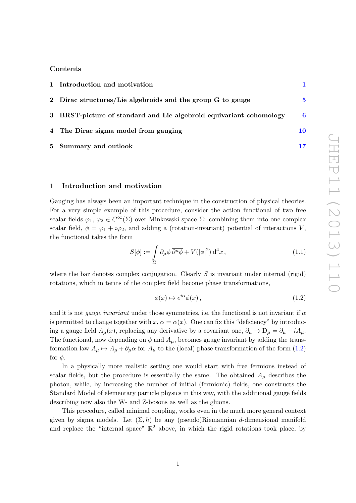# Contents

| 1 Introduction and motivation                                       |    |
|---------------------------------------------------------------------|----|
| 2 Dirac structures/Lie algebroids and the group G to gauge          | 5  |
| 3 BRST-picture of standard and Lie algebroid equivariant cohomology | 6  |
| 4 The Dirac sigma model from gauging                                | 10 |
| 5 Summary and outlook                                               |    |

#### <span id="page-1-0"></span>1 Introduction and motivation

Gauging has always been an important technique in the construction of physical theories. For a very simple example of this procedure, consider the action functional of two free scalar fields  $\varphi_1, \varphi_2 \in C^{\infty}(\Sigma)$  over Minkowski space  $\Sigma$ : combining them into one complex scalar field,  $\phi = \varphi_1 + i\varphi_2$ , and adding a (rotation-invariant) potential of interactions V, the functional takes the form

<span id="page-1-2"></span>
$$
S[\phi] := \int_{\Sigma} \partial_{\mu} \phi \, \overline{\partial^{\mu} \phi} + V(|\phi|^{2}) \, \mathrm{d}^{4} x \,, \tag{1.1}
$$

where the bar denotes complex conjugation. Clearly  $S$  is invariant under internal (rigid) rotations, which in terms of the complex field become phase transformations,

<span id="page-1-1"></span>
$$
\phi(x) \mapsto e^{i\alpha}\phi(x) \,,\tag{1.2}
$$

and it is not *gauge invariant* under those symmetries, i.e. the functional is not invariant if  $\alpha$ is permitted to change together with  $x, \alpha = \alpha(x)$ . One can fix this "deficiency" by introducing a gauge field  $A_\mu(x)$ , replacing any derivative by a covariant one,  $\partial_\mu \to D_\mu = \partial_\mu - iA_\mu$ . The functional, now depending on  $\phi$  and  $A_{\mu}$ , becomes gauge invariant by adding the transformation law  $A_{\mu} \mapsto A_{\mu} + \partial_{\mu} \alpha$  for  $A_{\mu}$  to the (local) phase transformation of the form [\(1.2\)](#page-1-1) for  $\phi$ .

In a physically more realistic setting one would start with free fermions instead of scalar fields, but the procedure is essentially the same. The obtained  $A_\mu$  describes the photon, while, by increasing the number of initial (fermionic) fields, one constructs the Standard Model of elementary particle physics in this way, with the additional gauge fields describing now also the W- and Z-bosons as well as the gluons.

This procedure, called minimal coupling, works even in the much more general context given by sigma models. Let  $(\Sigma, h)$  be any (pseudo)Riemannian d-dimensional manifold and replace the "internal space"  $\mathbb{R}^2$  above, in which the rigid rotations took place, by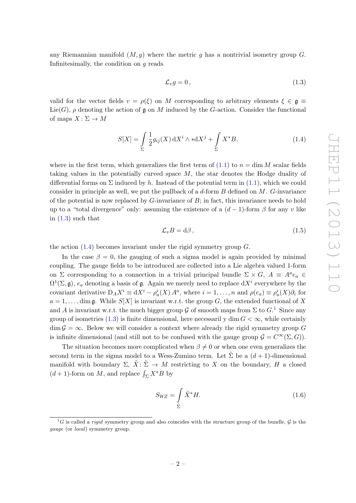any Riemannian manifold  $(M, q)$  where the metric q has a nontrivial isometry group G. Infinitesimally, the condition on  $q$  reads

<span id="page-2-0"></span>
$$
\mathcal{L}_v g = 0, \qquad (1.3)
$$

valid for the vector fields  $v = \rho(\xi)$  on M corresponding to arbitrary elements  $\xi \in \mathfrak{g} \equiv$  $Lie(G)$ ,  $\rho$  denoting the action of g on M induced by the G-action. Consider the functional of maps  $X\colon \Sigma\to M$ 

<span id="page-2-1"></span>
$$
S[X] = \int_{\Sigma} \frac{1}{2} g_{ij}(X) dX^{i} \wedge *dX^{j} + \int_{\Sigma} X^{*}B,
$$
\n(1.4)

where in the first term, which generalizes the first term of  $(1.1)$  to  $n = \dim M$  scalar fields taking values in the potentially curved space M, the star denotes the Hodge duality of differential forms on  $\Sigma$  induced by h. Instead of the potential term in [\(1.1\)](#page-1-2), which we could consider in principle as well, we put the pullback of a  $d$ -form  $B$  defined on  $M$ .  $G$ -invariance of the potential is now replaced by  $G$ -invariance of  $B$ ; in fact, this invariance needs to hold up to a "total divergence" only: assuming the existence of a  $(d-1)$ -form  $\beta$  for any v like in  $(1.3)$  such that

<span id="page-2-3"></span>
$$
\mathcal{L}_v B = d\beta \,,\tag{1.5}
$$

the action  $(1.4)$  becomes invariant under the rigid symmetry group  $G$ .

In the case  $\beta = 0$ , the gauging of such a sigma model is again provided by minimal coupling. The gauge fields to be introduced are collected into a Lie algebra valued 1-form on  $\Sigma$  corresponding to a connection in a trivial principal bundle  $\Sigma \times G$ ,  $A \equiv A^a e_a \in$  $\Omega^1(\Sigma, \mathfrak{g})$ ,  $e_a$  denoting a basis of  $\mathfrak{g}$ . Again we merely need to replace  $dX^i$  everywhere by the covariant derivative  $D_A X^i \equiv dX^i - \rho_a^i(X) A^a$ , where  $i = 1, ..., n$  and  $\rho(e_a) \equiv \rho_a^i(X) \partial_i$  for  $a = 1, \ldots$ , dim g. While  $S[X]$  is invariant w.r.t. the group G, the extended functional of X and A is invariant w.r.t. the much bigger group G of smooth maps from  $\Sigma$  to  $G<sup>1</sup>$  $G<sup>1</sup>$  $G<sup>1</sup>$ . Since any group of isometries [\(1.3\)](#page-2-0) is finite dimensional, here necessarily dim  $G < \infty$ , while certainly  $\dim \mathcal{G} = \infty$ . Below we will consider a context where already the rigid symmetry group G is infinite dimensional (and still not to be confused with the gauge group  $\mathcal{G} = C^{\infty}(\Sigma, G)$ ).

The situation becomes more complicated when  $\beta \neq 0$  or when one even generalizes the second term in the sigma model to a Wess-Zumino term. Let  $\tilde{\Sigma}$  be a  $(d+1)$ -dimensional manifold with boundary  $\Sigma$ ,  $\tilde{X}: \tilde{\Sigma} \to M$  restricting to X on the boundary, H a closed  $(d+1)$ -form on M, and replace  $\int_{\Sigma} X^* B$  by

<span id="page-2-4"></span>
$$
S_{WZ} = \int\limits_{\tilde{\Sigma}} \tilde{X}^* H. \tag{1.6}
$$

<span id="page-2-2"></span> ${}^{1}G$  is called a *rigid* symmetry group and also coincides with the structure group of the bundle, G is the gauge (or local) symmetry group.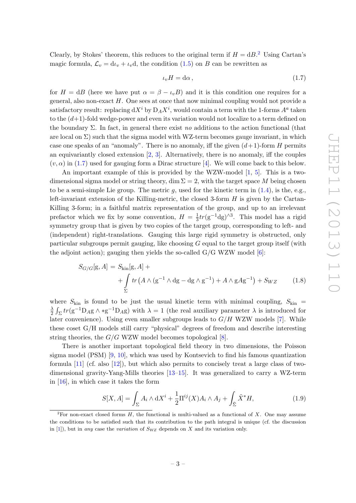Clearly, by Stokes' theorem, this reduces to the original term if  $H = dB$ <sup>[2](#page-3-0)</sup>. Using Cartan's magic formula,  $\mathcal{L}_v = d\iota_v + \iota_v d$ , the condition [\(1.5\)](#page-2-3) on B can be rewritten as

<span id="page-3-1"></span>
$$
\iota_v H = \mathrm{d}\alpha \,,\tag{1.7}
$$

for  $H = dB$  (here we have put  $\alpha = \beta - \iota_v B$ ) and it is this condition one requires for a general, also non-exact  $H$ . One sees at once that now minimal coupling would not provide a satisfactory result: replacing  $dX^i$  by  $D_A X^i$ , would contain a term with the 1-forms  $A^a$  taken to the  $(d+1)$ -fold wedge-power and even its variation would not localize to a term defined on the boundary  $\Sigma$ . In fact, in general there exist no additions to the action functional (that are local on  $\Sigma$ ) such that the sigma model with WZ-term becomes gauge invariant, in which case one speaks of an "anomaly". There is no anomaly, iff the given  $(d+1)$ -form H permits an equivariantly closed extension  $[2, 3]$  $[2, 3]$ . Alternatively, there is no anomaly, iff the couples  $(v, \alpha)$  in [\(1.7\)](#page-3-1) used for gauging form a Dirac structure [\[4\]](#page-18-2). We will come back to this below.

An important example of this is provided by the WZW-model [\[1,](#page-18-3) [5\]](#page-18-4). This is a twodimensional sigma model or string theory, dim  $\Sigma = 2$ , with the target space M being chosen to be a semi-simple Lie group. The metric q, used for the kinetic term in  $(1.4)$ , is the, e.g., left-invariant extension of the Killing-metric, the closed 3-form  $H$  is given by the Cartan-Killing 3-form; in a faithful matrix representation of the group, and up to an irrelevant prefactor which we fix by some convention,  $H = \frac{1}{3}$  $\frac{1}{3}tr(g^{-1}dg)^{\wedge 3}$ . This model has a rigid symmetry group that is given by two copies of the target group, corresponding to left- and (independent) right-translations. Gauging this large rigid symmetry is obstructed, only particular subgroups permit gauging, like choosing G equal to the target group itself (with the adjoint action); gauging then yields the so-called  $G/G$  WZW model  $[6]$ :

<span id="page-3-3"></span>
$$
S_{G/G}[g, A] = S_{\text{kin}}[g, A] + + \int_{\Sigma} tr(A \wedge (g^{-1} \wedge dg - dg \wedge g^{-1}) + A \wedge gAg^{-1}) + S_{WZ}
$$
 (1.8)

where  $S_{\text{kin}}$  is found to be just the usual kinetic term with minimal coupling,  $S_{\text{kin}} =$ λ  $\frac{\lambda}{2} \int_{\Sigma} tr(g^{-1}D_A g \wedge *g^{-1}D_A g)$  with  $\lambda = 1$  (the real auxiliary parameter  $\lambda$  is introduced for later convenience). Using even smaller subgroups leads to  $G/H$  WZW models [\[7\]](#page-18-6). While these coset G/H models still carry "physical" degrees of freedom and describe interesting string theories, the  $G/G$  WZW model becomes topological [\[8\]](#page-18-7).

There is another important topological field theory in two dimensions, the Poisson sigma model (PSM) [\[9,](#page-18-8) [10\]](#page-18-9), which was used by Kontsevich to find his famous quantization formula [\[11\]](#page-18-10) (cf. also [\[12\]](#page-18-11)), but which also permits to concisely treat a large class of twodimensional gravity-Yang-Mills theories [\[13–](#page-18-12)[15\]](#page-18-13). It was generalized to carry a WZ-term in [\[16\]](#page-18-14), in which case it takes the form

<span id="page-3-2"></span>
$$
S[X,A] = \int_{\Sigma} A_i \wedge \mathrm{d}X^i + \frac{1}{2} \Pi^{ij}(X) A_i \wedge A_j + \int_{\tilde{\Sigma}} \tilde{X}^* H,\tag{1.9}
$$

<span id="page-3-0"></span><sup>&</sup>lt;sup>2</sup>For non-exact closed forms H, the functional is multi-valued as a functional of X. One may assume the conditions to be satisfied such that its contribution to the path integral is unique (cf. the discussion in [\[1\]](#page-18-3)), but in any case the variation of  $S_{WZ}$  depends on X and its variation only.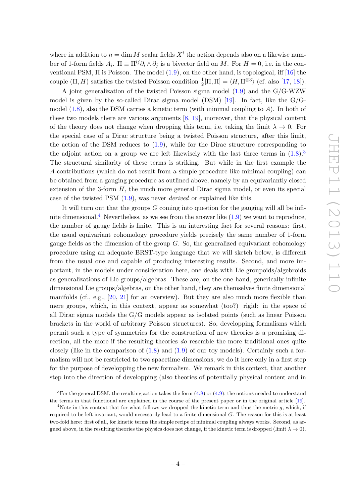where in addition to  $n = \dim M$  scalar fields  $X<sup>i</sup>$  the action depends also on a likewise number of 1-form fields  $A_i$ .  $\Pi \equiv \Pi^{ij}\partial_i \wedge \partial_j$  is a bivector field on M. For  $H = 0$ , i.e. in the conventional PSM,  $\Pi$  is Poisson. The model  $(1.9)$ , on the other hand, is topological, iff  $[16]$  the couple  $(\Pi, H)$  satisfies the twisted Poisson condition  $\frac{1}{2}[\Pi, \Pi] = \langle H, \Pi^{\otimes 3} \rangle$  (cf. also [\[17,](#page-18-15) [18\]](#page-18-16)).

A joint generalization of the twisted Poisson sigma model [\(1.9\)](#page-3-2) and the G/G-WZW model is given by the so-called Dirac sigma model (DSM) [\[19\]](#page-18-17). In fact, like the  $G/G$ model  $(1.8)$ , also the DSM carries a kinetic term (with minimal coupling to  $\hat{A}$ ). In both of these two models there are various arguments [\[8,](#page-18-7) [19\]](#page-18-17), moreover, that the physical content of the theory does not change when dropping this term, i.e. taking the limit  $\lambda \to 0$ . For the special case of a Dirac structure being a twisted Poisson structure, after this limit, the action of the DSM reduces to [\(1.9\)](#page-3-2), while for the Dirac structure corresponding to the adjoint action on a group we are left likewisely with the last three terms in  $(1.8)$ .<sup>[3](#page-4-0)</sup> The structural similarity of these terms is striking. But while in the first example the A-contributions (which do not result from a simple procedure like minimal coupling) can be obtained from a gauging procedure as outlined above, namely by an equivariantly closed extension of the 3-form  $H$ , the much more general Dirac sigma model, or even its special case of the twisted PSM  $(1.9)$ , was never *derived* or explained like this.

It will turn out that the groups  $G$  coming into question for the gauging will all be infi-nite dimensional.<sup>[4](#page-4-1)</sup> Nevertheless, as we see from the answer like  $(1.9)$  we want to reproduce, the number of gauge fields is finite. This is an interesting fact for several reasons: first, the usual equivariant cohomology procedure yields precisely the same number of 1-form gauge fields as the dimension of the group  $G$ . So, the generalized equivariant cohomology procedure using an adequate BRST-type language that we will sketch below, is different from the usual one and capable of producing interesting results. Second, and more important, in the models under consideration here, one deals with Lie groupoids/algebroids as generalizations of Lie groups/algebras. These are, on the one hand, generically infinite dimensional Lie groups/algebras, on the other hand, they are themselves finite dimensional manifolds (cf., e.g., [\[20,](#page-19-0) [21\]](#page-19-1) for an overview). But they are also much more flexible than mere groups, which, in this context, appear as somewhat (too?) rigid: in the space of all Dirac sigma models the  $G/G$  models appear as isolated points (such as linear Poisson brackets in the world of arbitrary Poisson structures). So, developping formalisms which permit such a type of symmetries for the construction of new theories is a promising direction, all the more if the resulting theories do resemble the more traditional ones quite closely (like in the comparison of  $(1.8)$  and  $(1.9)$  of our toy models). Certainly such a formalism will not be restricted to two spacetime dimensions, we do it here only in a first step for the purpose of developping the new formalism. We remark in this context, that another step into the direction of developping (also theories of potentially physical content and in

<span id="page-4-0"></span><sup>&</sup>lt;sup>3</sup>For the general DSM, the resulting action takes the form  $(4.8)$  or  $(4.9)$ ; the notions needed to understand the terms in that functional are explained in the course of the present paper or in the original article [\[19\]](#page-18-17).

<span id="page-4-1"></span><sup>&</sup>lt;sup>4</sup>Note in this context that for what follows we dropped the kinetic term and thus the metric  $g$ , which, if required to be left invariant, would necessarily lead to a finite dimensional G. The reason for this is at least two-fold here: first of all, for kinetic terms the simple recipe of minimal coupling always works. Second, as argued above, in the resulting theories the physics does not change, if the kinetic term is dropped (limit  $\lambda \to 0$ ).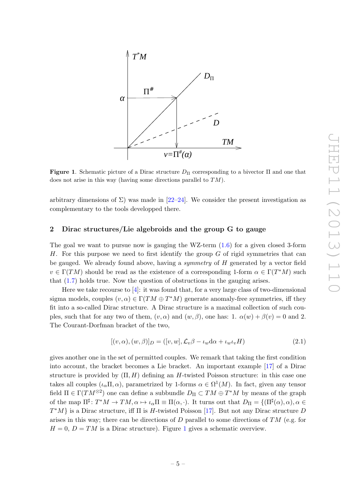

<span id="page-5-1"></span>Figure 1. Schematic picture of a Dirac structure  $D_{\Pi}$  corresponding to a bivector  $\Pi$  and one that does not arise in this way (having some directions parallel to TM).

arbitrary dimensions of  $\Sigma$ ) was made in [\[22–](#page-19-2)[24\]](#page-19-3). We consider the present investigation as complementary to the tools developped there.

### <span id="page-5-0"></span>2 Dirac structures/Lie algebroids and the group G to gauge

The goal we want to pursue now is gauging the WZ-term  $(1.6)$  for a given closed 3-form H. For this purpose we need to first identify the group  $G$  of rigid symmetries that can be gauged. We already found above, having a symmetry of H generated by a vector field  $v \in \Gamma(TM)$  should be read as the existence of a corresponding 1-form  $\alpha \in \Gamma(T^*M)$  such that [\(1.7\)](#page-3-1) holds true. Now the question of obstructions in the gauging arises.

Here we take recourse to [\[4\]](#page-18-2): it was found that, for a very large class of two-dimensional sigma models, couples  $(v, \alpha) \in \Gamma(TM \oplus T^*M)$  generate anomaly-free symmetries, iff they fit into a so-called Dirac structure. A Dirac structure is a maximal collection of such couples, such that for any two of them,  $(v, \alpha)$  and  $(w, \beta)$ , one has: 1.  $\alpha(w) + \beta(v) = 0$  and 2. The Courant-Dorfman bracket of the two,

<span id="page-5-2"></span>
$$
[(v, \alpha), (w, \beta)]_D = ([v, w], \mathcal{L}_v \beta - \iota_w \mathrm{d}\alpha + \iota_w \iota_v H) \tag{2.1}
$$

gives another one in the set of permitted couples. We remark that taking the first condition into account, the bracket becomes a Lie bracket. An important example [\[17\]](#page-18-15) of a Dirac structure is provided by  $(\Pi, H)$  defining an H-twisted Poisson structure: in this case one takes all couples  $(\iota_{\alpha} \Pi, \alpha)$ , parametrized by 1-forms  $\alpha \in \Omega^1(M)$ . In fact, given any tensor field  $\Pi \in \Gamma(TM^{\otimes 2})$  one can define a subbundle  $D_{\Pi} \subset TM \oplus T^{*}M$  by means of the graph of the map  $\Pi^{\sharp} \colon T^*M \to TM, \alpha \mapsto \iota_{\alpha}\Pi \equiv \Pi(\alpha, \cdot)$ . It turns out that  $D_{\Pi} = \{(\Pi^{\sharp}(\alpha), \alpha), \alpha \in$  $T^*M$  is a Dirac structure, iff  $\Pi$  is H-twisted Poisson [\[17\]](#page-18-15). But not any Dirac structure D arises in this way; there can be directions of  $D$  parallel to some directions of  $TM$  (e.g. for  $H = 0$ ,  $D = TM$  is a Dirac structure). Figure [1](#page-5-1) gives a schematic overview.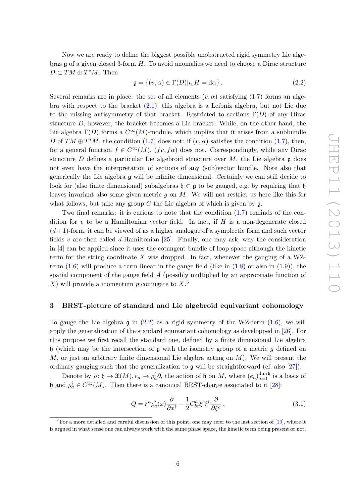Now we are ready to define the biggest possible unobstructed rigid symmetry Lie algebras  $\mathfrak g$  of a given closed 3-form H. To avoid anomalies we need to choose a Dirac structure  $D \subset TM \oplus T^*M$ . Then

<span id="page-6-2"></span>
$$
\mathfrak{g} = \{(v, \alpha) \in \Gamma(D) | \iota_v H = \mathrm{d}\alpha\}.
$$
\n(2.2)

Several remarks are in place: the set of all elements  $(v, \alpha)$  satisfying [\(1.7\)](#page-3-1) forms an algebra with respect to the bracket [\(2.1\)](#page-5-2); this algebra is a Leibniz algebra, but not Lie due to the missing antisymmetry of that bracket. Restricted to sections  $\Gamma(D)$  of any Dirac structure D, however, the bracket becomes a Lie bracket. While, on the other hand, the Lie algebra  $\Gamma(D)$  forms a  $C^{\infty}(M)$ -module, which implies that it arises from a subbundle D of  $TM \oplus T^*M$ , the condition  $(1.7)$  does not: if  $(v, \alpha)$  satisfies the condition  $(1.7)$ , then, for a general function  $f \in C^{\infty}(M)$ ,  $(fv, f\alpha)$  does not. Correspondingly, while any Dirac structure D defines a particular Lie algebroid structure over  $M$ , the Lie algebra g does not even have the interpretation of sections of any (sub)vector bundle. Note also that generically the Lie algebra g will be infinite dimensional. Certainly we can still decide to look for (also finite dimensional) subalgebras  $\mathfrak{h} \subset \mathfrak{g}$  to be gauged, e.g. by requiring that  $\mathfrak{h}$ leaves invariant also some given metric  $g$  on  $M$ . We will not restrict us here like this for what follows, but take any group  $G$  the Lie algebra of which is given by  $\mathfrak{g}$ .

Two final remarks: it is curious to note that the condition [\(1.7\)](#page-3-1) reminds of the condition for v to be a Hamiltonian vector field. In fact, if  $H$  is a non-degenerate closed  $(d+1)$ -form, it can be viewed of as a higher analogue of a symplectic form and such vector fields v are then called d-Hamiltonian  $[25]$ . Finally, one may ask, why the consideration in [\[4\]](#page-18-2) can be applied since it uses the cotangent bundle of loop space although the kinetic term for the string coordinate  $X$  was dropped. In fact, whenever the gauging of a WZterm  $(1.6)$  will produce a term linear in the gauge field (like in  $(1.8)$  or also in  $(1.9)$ ), the spatial component of the gauge field A (possibly multiplied by an appropriate function of X) will provide a momentum p conjugate to  $X$ .<sup>[5](#page-6-1)</sup>

#### <span id="page-6-0"></span>3 BRST-picture of standard and Lie algebroid equivariant cohomology

To gauge the Lie algebra  $\mathfrak g$  in [\(2.2\)](#page-6-2) as a rigid symmetry of the WZ-term [\(1.6\)](#page-2-4), we will apply the generalization of the standard equivariant cohomology as developped in [\[26\]](#page-19-5). For this purpose we first recall the standard one, defined by a finite dimensional Lie algebra  $\mathfrak h$  (which may be the intersection of  $\mathfrak g$  with the isometry group of a metric g defined on  $M$ , or just an arbitrary finite dimensional Lie algebra acting on  $M$ ). We will present the ordinary gauging such that the generalization to g will be straightforward (cf. also [\[27\]](#page-19-6)).

Denote by  $\rho: \mathfrak{h} \to \mathfrak{X}(M), e_a \mapsto \rho_a^i \partial_i$  the action of  $\mathfrak{h}$  on M, where  $(e_a)_{a=1}^{\dim \mathfrak{h}}$  is a basis of h and  $\rho_a^i \in C^{\infty}(M)$ . Then there is a canonical BRST-charge associated to it [\[28\]](#page-19-7):

<span id="page-6-3"></span>
$$
Q = \xi^a \rho_a^i(x) \frac{\partial}{\partial x^i} - \frac{1}{2} C^a_{bc} \xi^b \xi^c \frac{\partial}{\partial \xi^a}, \qquad (3.1)
$$

<span id="page-6-1"></span> ${}^{5}$ For a more detailed and careful discussion of this point, one may refer to the last section of  $[19]$ , where it is argued in what sense one can always work with the same phase space, the kinetic term being present or not.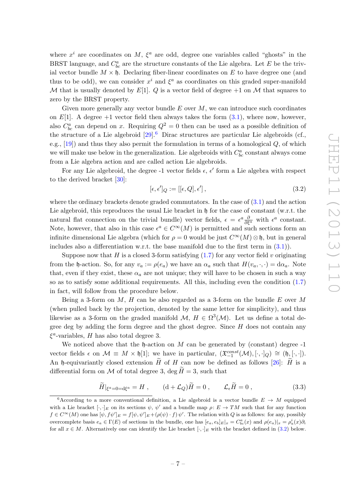where  $x^i$  are coordinates on M,  $\xi^a$  are odd, degree one variables called "ghosts" in the BRST language, and  $C_{bc}^a$  are the structure constants of the Lie algebra. Let E be the trivial vector bundle  $M \times \mathfrak{h}$ . Declaring fiber-linear coordinates on E to have degree one (and thus to be odd), we can consider  $x^i$  and  $\xi^a$  as coordinates on this graded super-manifold M that is usually denoted by E[1]. Q is a vector field of degree  $+1$  on M that squares to zero by the BRST property.

Given more generally any vector bundle  $E$  over  $M$ , we can introduce such coordinates on  $E[1]$ . A degree  $+1$  vector field then always takes the form  $(3.1)$ , where now, however, also  $C_{bc}^a$  can depend on x. Requiring  $Q^2 = 0$  then can be used as a possible definition of the structure of a Lie algebroid  $[29]$ <sup>[6](#page-7-0)</sup> Dirac structures are particular Lie algebroids (cf., e.g.,  $[19]$  and thus they also permit the formulation in terms of a homological  $Q$ , of which we will make use below in the generalization. Lie algebroids with  $C_{bc}^a$  constant always come from a Lie algebra action and are called action Lie algebroids.

For any Lie algebroid, the degree -1 vector fields  $\epsilon$ ,  $\epsilon'$  form a Lie algebra with respect to the derived bracket [\[30\]](#page-19-9):

<span id="page-7-1"></span>
$$
[\epsilon, \epsilon']_Q := [[\epsilon, Q], \epsilon'], \tag{3.2}
$$

where the ordinary brackets denote graded commutators. In the case of  $(3.1)$  and the action Lie algebroid, this reproduces the usual Lie bracket in  $\mathfrak h$  for the case of constant (w.r.t. the natural flat connection on the trivial bundle) vector fields,  $\epsilon = \epsilon^a \frac{\partial}{\partial \xi^a}$  with  $\epsilon^a$  constant. Note, however, that also in this case  $\epsilon^a \in C^{\infty}(M)$  is permitted and such sections form an infinite dimensional Lie algebra (which for  $\rho = 0$  would be just  $C^{\infty}(M) \otimes \mathfrak{h}$ , but in general includes also a differentiation w.r.t. the base manifold due to the first term in [\(3.1\)](#page-6-3)).

Suppose now that H is a closed 3-form satisfying  $(1.7)$  for any vector field v originating from the h-action. So, for any  $v_a := \rho(e_a)$  we have an  $\alpha_a$  such that  $H(v_a, \cdot, \cdot) = d\alpha_a$ . Note that, even if they exist, these  $\alpha_a$  are not unique; they will have to be chosen in such a way so as to satisfy some additional requirements. All this, including even the condition [\(1.7\)](#page-3-1) in fact, will follow from the procedure below.

Being a 3-form on  $M$ ,  $H$  can be also regarded as a 3-form on the bundle  $E$  over  $M$ (when pulled back by the projection, denoted by the same letter for simplicity), and thus likewise as a 3-form on the graded manifold  $\mathcal{M}, H \in \Omega^3(\mathcal{M})$ . Let us define a total degree deg by adding the form degree and the ghost degree. Since  $H$  does not contain any  $\xi^a$ -variables, H has also total degree 3.

We noticed above that the  $\mathfrak h$ -action on M can be generated by (constant) degree -1 vector fields  $\epsilon$  on  $\mathcal{M} \equiv M \times \mathfrak{h}[1]$ ; we have in particular,  $(\mathfrak{X}_{-1}^{const}(\mathcal{M}), [\cdot, \cdot]_Q) \cong (\mathfrak{h}, [\cdot, \cdot]).$ An h-equivariantly closed extension  $H$  of  $H$  can now be defined as follows [\[26\]](#page-19-5):  $H$  is a differential form on M of total degree 3, deg  $H=3$ , such that

<span id="page-7-2"></span>
$$
\widetilde{H}|_{\xi^a=0=d\xi^a}=H\ ,\qquad (\mathrm{d}+\mathcal{L}_Q)\widetilde{H}=0\ ,\qquad \mathcal{L}_\epsilon\widetilde{H}=0\ ,\tag{3.3}
$$

<span id="page-7-0"></span><sup>&</sup>lt;sup>6</sup>According to a more conventional definition, a Lie algebroid is a vector bundle  $E \rightarrow M$  equipped with a Lie bracket  $[\cdot,\cdot]_E$  on its sections  $\psi, \psi'$  and a bundle map  $\rho: E \to TM$  such that for any function  $f \in C^{\infty}(M)$  one has  $[\psi, f\psi']_E = f[\psi, \psi']_E + (\rho(\psi) \cdot f)\psi'$ . The relation with Q is as follows: for any, possibly overcomplete basis  $e_a \in \Gamma(E)$  of sections in the bundle, one has  $[e_a, e_b]_E|_x = C^a_{bc}(x)$  and  $\rho(e_a)|_x = \rho_a^i(x)\partial_i$ for all  $x \in M$ . Alternatively one can identify the Lie bracket  $[\cdot, \cdot]_E$  with the bracket defined in [\(3.2\)](#page-7-1) below.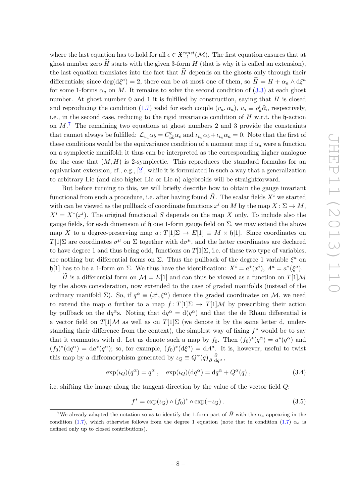where the last equation has to hold for all  $\epsilon \in \mathfrak{X}_{-1}^{const}(\mathcal{M})$ . The first equation ensures that at ghost number zero  $\hat{H}$  starts with the given 3-form  $H$  (that is why it is called an extension), the last equation translates into the fact that  $H$  depends on the ghosts only through their differentials; since  $\deg(d\xi^a) = 2$ , there can be at most one of them, so  $\widetilde{H} = H + \alpha_a \wedge d\xi^a$ for some 1-forms  $\alpha_a$  on M. It remains to solve the second condition of  $(3.3)$  at each ghost number. At ghost number  $0$  and  $1$  it is fulfilled by construction, saying that  $H$  is closed and reproducing the condition [\(1.7\)](#page-3-1) valid for each couple  $(v_a, \alpha_a)$ ,  $v_a \equiv \rho_a^i \partial_i$ , respectively, i.e., in the second case, reducing to the rigid invariance condition of  $H$  w.r.t. the  $\mathfrak{h}$ -action on  $M<sup>7</sup>$  $M<sup>7</sup>$  $M<sup>7</sup>$ . The remaining two equations at ghost numbers 2 and 3 provide the constraints that cannot always be fulfilled:  $\mathcal{L}_{v_a} \alpha_b = C_{ab}^c \alpha_c$  and  $\iota_{v_a} \alpha_b + \iota_{v_b} \alpha_a = 0$ . Note that the first of these conditions would be the equivariance condition of a moment map if  $\alpha_a$  were a function on a symplectic manifold; it thus can be interpreted as the corresponding higher analogue for the case that  $(M, H)$  is 2-symplectic. This reproduces the standard formulas for an equivariant extension, cf., e.g., [\[2\]](#page-18-0), while it is formulated in such a way that a generalization to arbitrary Lie (and also higher Lie or Lie-n) algebroids will be straightforward.

But before turning to this, we will briefly describe how to obtain the gauge invariant functional from such a procedure, i.e. after having found  $H$ . The scalar fields  $X^i$  we started with can be viewed as the pullback of coordinate functions  $x^i$  on M by the map  $X: \Sigma \to M$ ,  $X^{i} = X^{*}(x^{i}).$  The original functional S depends on the map X only. To include also the gauge fields, for each dimension of h one 1-form gauge field on  $\Sigma$ , we may extend the above map X to a degree-preserving map  $a: T[1]\Sigma \to E[1] \equiv M \times \mathfrak{h}[1]$ . Since coordinates on T[1]Σ are coordinates  $\sigma^{\mu}$  on Σ together with  $d\sigma^{\mu}$ , and the latter coordinates are declared to have degree 1 and thus being odd, functions on  $T[1]\Sigma$ , i.e. of these two type of variables, are nothing but differential forms on  $\Sigma$ . Thus the pullback of the degree 1 variable  $\xi^a$  on h[1] has to be a 1-form on  $\Sigma$ . We thus have the identification:  $X^i = a^*(x^i)$ ,  $A^a = a^*(\xi^a)$ .

 $\widetilde{H}$  is a differential form on  $\mathcal{M} = E[1]$  and can thus be viewed as a function on  $T[1]\mathcal{M}$ by the above consideration, now extended to the case of graded manifolds (instead of the ordinary manifold  $\Sigma$ ). So, if  $q^{\alpha} \equiv (x^i, \xi^{\alpha})$  denote the graded coordinates on M, we need to extend the map a further to a map  $f: T[1]\Sigma \to T[1]\mathcal{M}$  by prescribing their action by pullback on the dq<sup> $\alpha$ </sup>s. Noting that dq<sup> $\alpha$ </sup> = d( $q^{\alpha}$ ) and that the de Rham differential is a vector field on  $T[1]\mathcal{M}$  as well as on  $T[1]\Sigma$  (we denote it by the same letter d, understanding their difference from the context), the simplest way of fixing  $f^*$  would be to say that it commutes with d. Let us denote such a map by  $f_0$ . Then  $(f_0)^*(q^{\alpha}) = a^*(q^{\alpha})$  and  $(f_0)^*(dq^{\alpha}) = da^*(q^{\alpha})$ ; so, for example,  $(f_0)^*(d\xi^a) = dA^a$ . It is, however, useful to twist this map by a diffeomorphism generated by  $\iota_Q \equiv Q^{\alpha}(q) \frac{\partial}{\partial dq^{\alpha}}$ ,

$$
\exp(\iota_Q)(q^{\alpha}) = q^{\alpha} , \quad \exp(\iota_Q)(\mathrm{d}q^{\alpha}) = \mathrm{d}q^{\alpha} + Q^{\alpha}(q) , \qquad (3.4)
$$

i.e. shifting the image along the tangent direction by the value of the vector field Q:

$$
f^* = \exp(\iota_Q) \circ (f_0)^* \circ \exp(-\iota_Q). \tag{3.5}
$$

<span id="page-8-0"></span><sup>&</sup>lt;sup>7</sup>We already adapted the notation so as to identify the 1-form part of  $\tilde{H}$  with the  $\alpha_a$  appearing in the condition [\(1.7\)](#page-3-1), which otherwise follows from the degree 1 equation (note that in condition (1.7)  $\alpha_a$  is defined only up to closed contributions).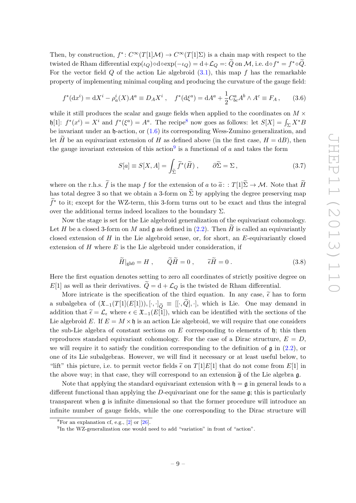Then, by construction,  $f^*: C^\infty(T[1]\mathcal{M}) \to C^\infty(T[1]\Sigma)$  is a chain map with respect to the twisted de Rham differential  $\exp(\iota_Q) \circ \text{doexp}(-\iota_Q) = \text{d} + \mathcal{L}_Q =: \widetilde{Q}$  on M, i.e.  $\text{do} f^* = f^* \circ \widetilde{Q}$ . For the vector field  $Q$  of the action Lie algebroid  $(3.1)$ , this map f has the remarkable property of implementing minimal coupling and producing the curvature of the gauge field:

$$
f^*(dx^i) = dX^i - \rho_a^i(X)A^a \equiv D_A X^i , \quad f^*(d\xi^a) = dA^a + \frac{1}{2}C^a_{bc}A^b \wedge A^c \equiv F_A , \qquad (3.6)
$$

while it still produces the scalar and gauge fields when applied to the coordinates on  $M \times$  $\mathfrak{h}[1]$ :  $f^*(x^i) = X^i$  and  $f^*(\xi^a) = A^a$ . The recipe<sup>[8](#page-9-0)</sup> now goes as follows: let  $S[X] = \int_{\Sigma} X^* B$ be invariant under an  $\mathfrak h$ -action, or  $(1.6)$  its corresponding Wess-Zumino generalization, and let H be an equivariant extension of H as defined above (in the first case,  $H = dB$ ), then the gauge invariant extension of this action<sup>[9](#page-9-1)</sup> is a functional of  $a$  and takes the form

<span id="page-9-3"></span>
$$
S[a] \equiv S[X, A] = \int_{\widetilde{\Sigma}} \widetilde{f}^*(\widetilde{H}), \qquad \partial \widetilde{\Sigma} = \Sigma, \qquad (3.7)
$$

where on the r.h.s.  $\tilde{f}$  is the map f for the extension of a to  $\tilde{a}: T[1]\tilde{\Sigma} \to \mathcal{M}$ . Note that  $\tilde{H}$ has total degree 3 so that we obtain a 3-form on  $\widetilde{\Sigma}$  by applying the degree preserving map  $\tilde{f}^*$  to it; except for the WZ-term, this 3-form turns out to be exact and thus the integral over the additional terms indeed localizes to the boundary  $\Sigma$ .

Now the stage is set for the Lie algebroid generalization of the equivariant cohomology. Let H be a closed 3-form on M and g as defined in  $(2.2)$ . Then H is called an equivariantly closed extension of  $H$  in the Lie algebroid sense, or, for short, an  $E$ -equivariantly closed extension of  $H$  where  $E$  is the Lie algebroid under consideration, if

<span id="page-9-2"></span>
$$
\widetilde{H}|_{\text{gh}0} = H , \qquad \widetilde{Q}\widetilde{H} = 0 , \qquad \widetilde{\epsilon}\widetilde{H} = 0 . \tag{3.8}
$$

Here the first equation denotes setting to zero all coordinates of strictly positive degree on  $E[1]$  as well as their derivatives.  $\tilde{Q} = d + \mathcal{L}_Q$  is the twisted de Rham differential.

More intricate is the specification of the third equation. In any case,  $\tilde{\epsilon}$  has to form a subalgebra of  $(\mathfrak{X}_{-1}(T[1](E[1])), [\cdot, \cdot]_{\tilde{O}} \equiv [[\cdot, Q], \cdot],$  which is Lie. One may demand in addition that  $\tilde{\epsilon} = \mathcal{L}_{\epsilon}$  where  $\epsilon \in \mathfrak{X}_{-1}(E[1])$ , which can be identified with the sections of the Lie algebroid E. If  $E = M \times \mathfrak{h}$  is an action Lie algebroid, we will require that one considers the sub-Lie algebra of constant sections on  $E$  corresponding to elements of  $\mathfrak{h}$ ; this then reproduces standard equivariant cohomology. For the case of a Dirac structure,  $E = D$ , we will require it to satisfy the condition corresponding to the definition of  $\mathfrak g$  in [\(2.2\)](#page-6-2), or one of its Lie subalgebras. However, we will find it necessary or at least useful below, to "lift" this picture, i.e. to permit vector fields  $\tilde{\epsilon}$  on  $T[1]E[1]$  that do not come from  $E[1]$  in the above way; in that case, they will correspond to an extension  $\tilde{\mathfrak{g}}$  of the Lie algebra g.

Note that applying the standard equivariant extension with  $\mathfrak{h} = \mathfrak{g}$  in general leads to a different functional than applying the D-equivariant one for the same  $\mathfrak{g}$ ; this is particularly transparent when g is infinite dimensional so that the former procedure will introduce an infinite number of gauge fields, while the one corresponding to the Dirac structure will

<span id="page-9-0"></span> ${}^{8}$ For an explanation cf, e.g., [\[2\]](#page-18-0) or [\[26\]](#page-19-5).

<span id="page-9-1"></span><sup>&</sup>lt;sup>9</sup>In the WZ-generalization one would need to add "variation" in front of "action".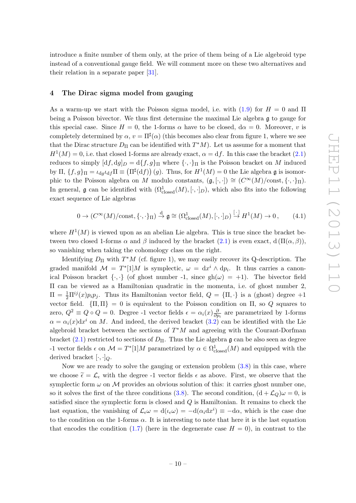introduce a finite number of them only, at the price of them being of a Lie algebroid type instead of a conventional gauge field. We will comment more on these two alternatives and their relation in a separate paper [\[31\]](#page-19-10).

#### <span id="page-10-0"></span>4 The Dirac sigma model from gauging

As a warm-up we start with the Poisson sigma model, i.e. with  $(1.9)$  for  $H = 0$  and  $\Pi$ being a Poisson bivector. We thus first determine the maximal Lie algebra g to gauge for this special case. Since  $H = 0$ , the 1-forms  $\alpha$  have to be closed,  $d\alpha = 0$ . Moreover, v is completely determined by  $\alpha, v = \Pi^{\sharp}(\alpha)$  (this becomes also clear from figure 1, where we see that the Dirac structure  $D_{\Pi}$  can be identified with  $T^*M$ ). Let us assume for a moment that  $H^1(M) = 0$ , i.e. that closed 1-forms are already exact,  $\alpha = df$ . In this case the bracket [\(2.1\)](#page-5-2) reduces to simply  $[df, dg]_D = d{f, g}_{\Pi}$  where  ${\{\cdot,\cdot\}}_{\Pi}$  is the Poisson bracket on M induced by  $\Pi$ ,  $\{f,g\}_{\Pi} = \iota_{dg}\iota_{df} \Pi \equiv (\Pi^{\sharp}(df)) (g)$ . Thus, for  $H^1(M) = 0$  the Lie algebra  $\mathfrak g$  is isomorphic to the Poisson algebra on M modulo constants,  $(\mathfrak{g}, [\cdot,\cdot]) \cong (C^{\infty}(M)/\text{const}, {\cdot, \cdot}_{\Pi}).$ In general,  $\mathfrak g$  can be identified with  $(\Omega^1_{\text{closed}}(M), [\cdot, \cdot]_D)$ , which also fits into the following exact sequence of Lie algebras

$$
0 \to (C^{\infty}(M)/\text{const}, \{\cdot, \cdot\}_{\Pi}) \stackrel{\mathrm{d}}{\to} \mathfrak{g} \cong (\Omega^1_{\mathrm{closed}}(M), [\cdot, \cdot]_D) \stackrel{[\cdot]}{\to} H^1(M) \to 0, \tag{4.1}
$$

where  $H^1(M)$  is viewed upon as an abelian Lie algebra. This is true since the bracket between two closed 1-forms  $\alpha$  and  $\beta$  induced by the bracket  $(2.1)$  is even exact,  $d(\Pi(\alpha, \beta)),$ so vanishing when taking the cohomology class on the right.

Identifying  $D_{\Pi}$  with  $T^*M$  (cf. figure 1), we may easily recover its Q-description. The graded manifold  $\mathcal{M} = T^* [1] M$  is symplectic,  $\omega = dx^i \wedge dp_i$ . It thus carries a canonical Poisson bracket  $\{\cdot,\cdot\}$  (of ghost number -1, since  $gh(\omega) = +1$ ). The bivector field Π can be viewed as a Hamiltonian quadratic in the momenta, i.e. of ghost number 2,  $\Pi = \frac{1}{2}\Pi^{ij}(x)p_ip_j$ . Thus its Hamiltonian vector field,  $Q = {\Pi, \cdot}$  is a (ghost) degree  $+1$ vector field.  ${\{\Pi, \Pi\}} = 0$  is equivalent to the Poisson condition on  $\Pi$ , so Q squares to zero,  $Q^2 \equiv Q \circ Q = 0$ . Degree -1 vector fields  $\epsilon = \alpha_i(x) \frac{\delta}{\partial x_i}$  $\frac{\partial}{\partial p_i}$  are parametrized by 1-forms  $\alpha = \alpha_i(x) dx^i$  on M. And indeed, the derived bracket  $(3.2)$  can be identified with the Lie algebroid bracket between the sections of  $T^*M$  and agreeing with the Courant-Dorfman bracket [\(2.1\)](#page-5-2) restricted to sections of  $D_{\Pi}$ . Thus the Lie algebra g can be also seen as degree -1 vector fields  $\epsilon$  on  $\mathcal{M} = T^* [1] M$  parametrized by  $\alpha \in \Omega^1_{\text{closed}}(M)$  and equipped with the derived bracket  $[\cdot, \cdot]_Q$ .

Now we are ready to solve the gauging or extension problem [\(3.8\)](#page-9-2) in this case, where we choose  $\tilde{\epsilon} = \mathcal{L}_{\epsilon}$  with the degree -1 vector fields  $\epsilon$  as above. First, we observe that the symplectic form  $\omega$  on M provides an obvious solution of this: it carries ghost number one, so it solves the first of the three conditions [\(3.8\)](#page-9-2). The second condition,  $(d + \mathcal{L}_Q)\omega = 0$ , is satisfied since the symplectic form is closed and Q is Hamiltonian. It remains to check the last equation, the vanishing of  $\mathcal{L}_{\epsilon}\omega = d(\iota_{\epsilon}\omega) = -d(\alpha_i dx^i) \equiv -d\alpha$ , which is the case due to the condition on the 1-forms  $\alpha$ . It is interesting to note that here it is the last equation that encodes the condition [\(1.7\)](#page-3-1) (here in the degenerate case  $H = 0$ ), in contrast to the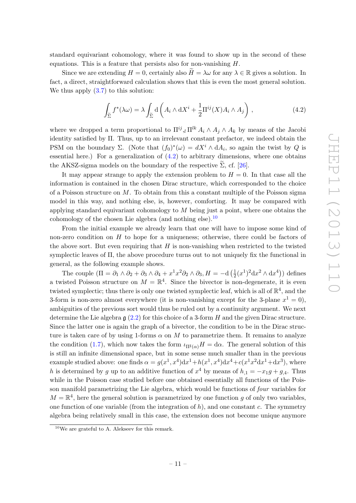standard equivariant cohomology, where it was found to show up in the second of these equations. This is a feature that persists also for non-vanishing H.

Since we are extending  $H = 0$ , certainly also  $\widetilde{H} = \lambda \omega$  for any  $\lambda \in \mathbb{R}$  gives a solution. In fact, a direct, straightforward calculation shows that this is even the most general solution. We thus apply  $(3.7)$  to this solution:

<span id="page-11-0"></span>
$$
\int_{\tilde{\Sigma}} f^*(\lambda \omega) = \lambda \int_{\tilde{\Sigma}} d\left( A_i \wedge dX^i + \frac{1}{2} \Pi^{ij}(X) A_i \wedge A_j \right), \qquad (4.2)
$$

where we dropped a term proportional to  $\Pi^{ij}$ ,  $\Pi^{lk}$   $A_i \wedge A_j \wedge A_k$  by means of the Jacobi identity satisfied by Π. Thus, up to an irrelevant constant prefactor, we indeed obtain the PSM on the boundary  $\Sigma$ . (Note that  $(f_0)^*(\omega) = dX^i \wedge dA_i$ , so again the twist by Q is essential here.) For a generalization of  $(4.2)$  to arbitrary dimensions, where one obtains the AKSZ-sigma models on the boundary of the respective  $\Sigma$ , cf. [[26\]](#page-19-5).

It may appear strange to apply the extension problem to  $H = 0$ . In that case all the information is contained in the chosen Dirac structure, which corresponded to the choice of a Poisson structure on  $M$ . To obtain from this a constant multiple of the Poisson sigma model in this way, and nothing else, is, however, comforting. It may be compared with applying standard equivariant cohomology to  $M$  being just a point, where one obtains the cohomology of the chosen Lie algebra (and nothing else).<sup>[10](#page-11-1)</sup>

From the initial example we already learn that one will have to impose some kind of non-zero condition on  $H$  to hope for a uniqueness; otherwise, there could be factors of the above sort. But even requiring that  $H$  is non-vanishing when restricted to the twisted symplectic leaves of Π, the above procedure turns out to not uniquely fix the functional in general, as the following example shows.

The couple  $(\Pi = \partial_1 \wedge \partial_2 + \partial_3 \wedge \partial_4 + x^1 x^2 \partial_2 \wedge \partial_3, H = -d\left(\frac{1}{2}\right)$  $\frac{1}{2}(x^1)^2 dx^2 \wedge dx^4$ ) defines a twisted Poisson structure on  $M = \mathbb{R}^4$ . Since the bivector is non-degenerate, it is even twisted symplectic; thus there is only one twisted symplectic leaf, which is all of  $\mathbb{R}^4$ , and the 3-form is non-zero almost everywhere (it is non-vanishing except for the 3-plane  $x^1 = 0$ ), ambiguities of the previous sort would thus be ruled out by a continuity argument. We next determine the Lie algebra  $\mathfrak{g}(2.2)$  $\mathfrak{g}(2.2)$  for this choice of a 3-form H and the given Dirac structure. Since the latter one is again the graph of a bivector, the condition to be in the Dirac structure is taken care of by using 1-forms  $\alpha$  on M to parametrize them. It remains to analyze the condition [\(1.7\)](#page-3-1), which now takes the form  $\iota_{\Pi^{\sharp}(\alpha)}H = d\alpha$ . The general solution of this is still an infinite dimensional space, but in some sense much smaller than in the previous example studied above: one finds  $\alpha = g(x^1, x^4)dx^1 + h(x^1, x^4)dx^4 + c(x^1x^2dx^1 + dx^3)$ , where h is determined by g up to an additive function of  $x^4$  by means of  $h_{,1} = -x_{1}g + g_{,4}$ . Thus while in the Poisson case studied before one obtained essentially all functions of the Poisson manifold parametrizing the Lie algebra, which would be functions of four variables for  $M = \mathbb{R}^4$ , here the general solution is parametrized by one function g of only two variables, one function of one variable (from the integration of  $h$ ), and one constant c. The symmetry algebra being relatively small in this case, the extension does not become unique anymore

<span id="page-11-1"></span> $10$ We are grateful to A. Alekseev for this remark.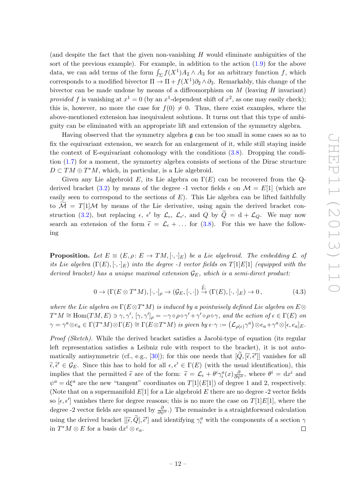(and despite the fact that the given non-vanishing  $H$  would eliminate ambiguities of the sort of the previous example). For example, in addition to the action [\(1.9\)](#page-3-2) for the above data, we can add terms of the form  $\int_{\Sigma} f(X^1)A_2 \wedge A_3$  for an arbitrary function f, which corresponds to a modified bivector  $\Pi \to \Pi + f(X^1)\partial_2 \wedge \partial_3$ . Remarkably, this change of the bivector can be made undone by means of a diffeomorphism on  $M$  (leaving  $H$  invariant) provided f is vanishing at  $x^1 = 0$  (by an  $x^1$ -dependent shift of  $x^2$ , as one may easily check); this is, however, no more the case for  $f(0) \neq 0$ . Thus, there exist examples, where the above-mentioned extension has inequivalent solutions. It turns out that this type of ambiguity can be eliminated with an appropriate lift and extension of the symmetry algebra.

Having observed that the symmetry algebra  $\mathfrak g$  can be too small in some cases so as to fix the equivariant extension, we search for an enlargement of it, while still staying inside the context of E-equivariant cohomology with the conditions [\(3.8\)](#page-9-2). Dropping the condition [\(1.7\)](#page-3-1) for a moment, the symmetry algebra consists of sections of the Dirac structure  $D \subset TM \oplus T^*M$ , which, in particular, is a Lie algebroid.

Given any Lie algebroid E, its Lie algebra on  $\Gamma(E)$  can be recovered from the Q-derived bracket [\(3.2\)](#page-7-1) by means of the degree -1 vector fields  $\epsilon$  on  $\mathcal{M} = E[1]$  (which are easily seen to correspond to the sections of  $E$ ). This Lie algebra can be lifted faithfully to  $\mathcal{M} = T[1]\mathcal{M}$  by means of the Lie derivative, using again the derived bracket con-struction [\(3.2\)](#page-7-1), but replacing  $\epsilon$ ,  $\epsilon'$  by  $\mathcal{L}_{\epsilon}$ ,  $\mathcal{L}_{\epsilon'}$ , and  $Q$  by  $\tilde{Q} = d + \mathcal{L}_{Q}$ . We may now search an extension of the form  $\tilde{\epsilon} = \mathcal{L}_{\epsilon} + \dots$  for [\(3.8\)](#page-9-2). For this we have the following

**Proposition.** Let  $E \equiv (E, \rho: E \to TM, [\cdot, \cdot]_E)$  be a Lie algebroid. The embedding  $\mathcal{L}$  of its Lie algebra  $(\Gamma(E), [\cdot, \cdot]_E)$  into the degree -1 vector fields on  $T[1]E[1]$  (equipped with the derived bracket) has a unique maximal extension  $\mathcal{G}_E$ , which is a semi-direct product:

$$
0 \to (\Gamma(E \otimes T^*M), [\cdot, \cdot]_{\rho} \to (\mathcal{G}_E, [\cdot, \cdot]) \stackrel{\mathcal{L}}{\to} (\Gamma(E), [\cdot, \cdot]_E) \to 0, \tag{4.3}
$$

where the Lie algebra on  $\Gamma(E \otimes T^*M)$  is induced by a pointwisely defined Lie algebra on  $E \otimes T^*M$  $T^*M \cong \text{Hom}(TM, E) \ni \gamma, \gamma', [\gamma, \gamma']_\rho = -\gamma \circ \rho \circ \gamma' + \gamma' \circ \rho \circ \gamma$ , and the action of  $\epsilon \in \Gamma(E)$  on  $\gamma = \gamma^a \otimes e_a \in \Gamma(T^*M) \otimes \Gamma(E) \cong \Gamma(E \otimes T^*M)$  is given by  $\epsilon \cdot \gamma := (\mathcal{L}_{\rho(\epsilon)} \gamma^a) \otimes e_a + \gamma^a \otimes [\epsilon, e_a]_E$ .

Proof (Sketch). While the derived bracket satisfies a Jacobi-type of equation (its regular left representation satisfies a Leibniz rule with respect to the bracket), it is not auto-matically antisymmetric (cf., e.g., [\[30\]](#page-19-9)); for this one needs that  $[\widetilde{Q}, [\widetilde{\epsilon}, \widetilde{\epsilon}']]$  vanishes for all<br> $\widetilde{\epsilon} \widetilde{Z}$  =  $\widetilde{G}$  =  $\widetilde{G}$  =  $\widetilde{G}$  =  $\widetilde{G}$  =  $\widetilde{G}$  =  $\widetilde{G}$  =  $\widetilde{G}$  =  $\widetilde{G}$  $\tilde{\epsilon}, \tilde{\epsilon}' \in \mathcal{G}_E$ . Since this has to hold for all  $\epsilon, \epsilon' \in \Gamma(E)$  (with the usual identification), this implies that the permitted  $\tilde{\epsilon}$  are of the form:  $\tilde{\epsilon} = \mathcal{L}_{\epsilon} + \theta^{i} \gamma_{i}^{a}(x) \frac{\partial}{\partial \psi^{a}}$ , where  $\theta^{i} = dx^{i}$  and  $\psi^a = d\xi^a$  are the new "tangent" coordinates on  $T[1](E[1])$  of degree 1 and 2, respectively. (Note that on a supermanifold  $E[1]$  for a Lie algebroid E there are no degree -2 vector fields so  $[\epsilon, \epsilon']$  vanishes there for degree reasons; this is no more the case on  $T[1]E[1]$ , where the degree -2 vector fields are spanned by  $\frac{\partial}{\partial \psi^a}$ .) The remainder is a straightforward calculation using the derived bracket  $[[\tilde{\epsilon}, \tilde{Q}], \tilde{\epsilon}']$  and identifying  $\gamma_i^a$  with the components of a section  $\gamma$ in  $T^*M \otimes E$  for a basis  $dx^i \otimes e_a$ .  $\Box$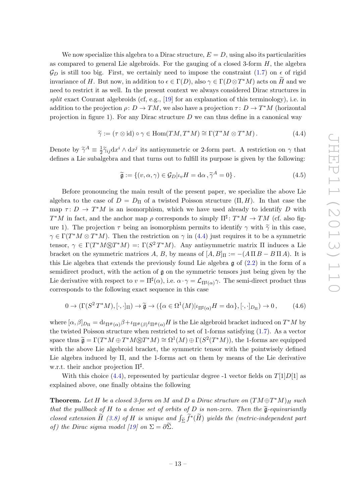We now specialize this algebra to a Dirac structure,  $E = D$ , using also its particularities as compared to general Lie algebroids. For the gauging of a closed 3-form  $H$ , the algebra  $\mathcal{G}_D$  is still too big. First, we certainly need to impose the constraint [\(1.7\)](#page-3-1) on  $\epsilon$  of rigid invariance of H. But now, in addition to  $\epsilon \in \Gamma(D)$ , also  $\gamma \in \Gamma(D \otimes T^*M)$  acts on  $\widetilde{H}$  and we need to restrict it as well. In the present context we always considered Dirac structures in split exact Courant algebroids (cf, e.g.,  $[19]$  for an explanation of this terminology), i.e. in addition to the projection  $\rho: D \to TM$ , we also have a projection  $\tau: D \to T^*M$  (horizontal projection in figure 1). For any Dirac structure  $D$  we can thus define in a canonical way

<span id="page-13-0"></span>
$$
\widetilde{\gamma} := (\tau \otimes id) \circ \gamma \in \text{Hom}(TM, T^*M) \cong \Gamma(T^*M \otimes T^*M). \tag{4.4}
$$

Denote by  $\widetilde{\gamma}^A \equiv \frac{1}{2}$  $\frac{1}{2}\widetilde{\gamma}_{ij}dx^i\wedge dx^j$  its antisymmetric or 2-form part. A restriction on  $\gamma$  that defines a Lie subalgebra and that turns out to fulfill its purpose is given by the following:

<span id="page-13-1"></span>
$$
\widetilde{\mathfrak{g}} := \{ (v, \alpha, \gamma) \in \mathcal{G}_D | i_v H = \mathrm{d}\alpha, \widetilde{\gamma}^A = 0 \}.
$$
\n(4.5)

Before pronouncing the main result of the present paper, we specialize the above Lie algebra to the case of  $D = D_{\Pi}$  of a twisted Poisson structure  $(\Pi, H)$ . In that case the map  $\tau: D \to T^*M$  is an isomorphism, which we have used already to identify D with  $T^*M$  in fact, and the anchor map  $\rho$  corresponds to simply  $\Pi^{\sharp}$ :  $T^*M \to TM$  (cf. also figure 1). The projection  $\tau$  being an isomorphism permits to identify  $\gamma$  with  $\tilde{\gamma}$  in this case,  $\gamma \in \Gamma(T^*M \otimes T^*M)$ . Then the restriction on  $\gamma$  in [\(4.4\)](#page-13-0) just requires it to be a symmetric tensor,  $\gamma \in \Gamma(T^*M \otimes T^*M) =: \Gamma(S^2T^*M)$ . Any antisymmetric matrix  $\Pi$  induces a Lie bracket on the symmetric matrices A, B, by means of  $[A, B]_{\Pi} := -(A \Pi B - B \Pi A)$ . It is this Lie algebra that extends the previously found Lie algebra  $\mathfrak g$  of  $(2.2)$  in the form of a semidirect product, with the action of  $\mathfrak g$  on the symmetric tensors just being given by the Lie derivative with respect to  $v = \Pi^{\sharp}(\alpha)$ , i.e.  $\alpha \cdot \gamma = \mathcal{L}_{\Pi^{\sharp}(\alpha)}\gamma$ . The semi-direct product thus corresponds to the following exact sequence in this case

<span id="page-13-2"></span>
$$
0 \to (\Gamma(S^2 T^* M), [\cdot, \cdot]_{\Pi}) \to \widetilde{\mathfrak{g}} \to (\{\alpha \in \Omega^1(M) | \iota_{\Pi^\sharp(\alpha)} H = d\alpha\}, [\cdot, \cdot]_{D_{\Pi}}) \to 0, \tag{4.6}
$$

where  $[\alpha, \beta]_{D_{\Pi}} = d\iota_{\Pi^{\#}(\alpha)}\beta + \iota_{\Pi^{\#}(\beta)}\iota_{\Pi^{\#}(\alpha)}H$  is the Lie algebroid bracket induced on  $T^*M$  by the twisted Poisson structure when restricted to set of 1-forms satisfying [\(1.7\)](#page-3-1). As a vector space thus  $\widetilde{\mathfrak{g}} = \Gamma(T^*M \oplus T^*M \otimes T^*M) \cong \Omega^1(M) \oplus \Gamma(S^2(T^*M))$ , the 1-forms are equipped with the above Lie algebroid bracket, the symmetric tensor with the pointwisely defined Lie algebra induced by  $\Pi$ , and the 1-forms act on them by means of the Lie derivative w.r.t. their anchor projection  $\Pi^{\sharp}$ .

With this choice [\(4.4\)](#page-13-0), represented by particular degree -1 vector fields on  $T[1]D[1]$  as explained above, one finally obtains the following

**Theorem.** Let H be a closed 3-form on M and D a Dirac structure on  $(TM \oplus T^*M)_H$  such that the pullback of H to a dense set of orbits of D is non-zero. Then the  $\tilde{\mathfrak{g}}$ -equivariantly closed extension  $\tilde{H}$  [\(3.8\)](#page-9-2) of H is unique and  $\int_{\tilde{\Sigma}} \tilde{f}^*(\tilde{H})$  yields the (metric-independent part of) the Dirac sigma model [\[19\]](#page-18-17) on  $\Sigma = \partial \widetilde{\Sigma}$ .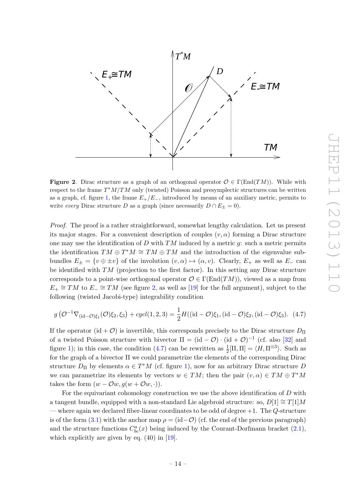

<span id="page-14-0"></span>**Figure 2.** Dirac structure as a graph of an orthogonal operator  $\mathcal{O} \in \Gamma(\text{End}(TM))$ . While with respect to the frame  $T^*M/TM$  only (twisted) Poisson and presymplectic structures can be written as a graph, cf. figure [1,](#page-5-1) the frame  $E_{+}/E_{-}$ , introduced by means of an auxiliary metric, permits to write every Dirac structure D as a graph (since necessarily  $D \cap E_{\pm} = 0$ ).

Proof. The proof is a rather straightforward, somewhat lengthy calculation. Let us present its major stages. For a convenient description of couples  $(v, \alpha)$  forming a Dirac structure one may use the identification of D with  $TM$  induced by a metric q: such a metric permits the identification  $TM \oplus T^*M \cong TM \oplus TM$  and the introduction of the eigenvalue subbundles  $E_{\pm} = \{v \oplus \pm v\}$  of the involution  $(v, \alpha) \mapsto (\alpha, v)$ . Clearly,  $E_{+}$  as well as  $E_{-}$  can be identified with  $TM$  (projection to the first factor). In this setting any Dirac structure corresponds to a point-wise orthogonal operator  $\mathcal{O} \in \Gamma(\text{End}(TM))$ , viewed as a map from  $E_+ \cong TM$  to  $E_- \cong TM$  (see figure [2,](#page-14-0) as well as [\[19\]](#page-18-17) for the full argument), subject to the following (twisted Jacobi-type) integrability condition

<span id="page-14-1"></span>
$$
g\left(\mathcal{O}^{-1}\nabla_{(\mathrm{id}-\mathcal{O})\xi_1}(\mathcal{O})\xi_2,\xi_3\right) + cycl(1,2,3) = \frac{1}{2}H((\mathrm{id}-\mathcal{O})\xi_1,(\mathrm{id}-\mathcal{O})\xi_2,(\mathrm{id}-\mathcal{O})\xi_3). \tag{4.7}
$$

If the operator (id +  $\mathcal{O}$ ) is invertible, this corresponds precisely to the Dirac structure  $D_{\Pi}$ of a twisted Poisson structure with bivector  $\Pi = (\mathrm{id} - \mathcal{O}) \cdot (\mathrm{id} + \mathcal{O})^{-1}$  (cf. also [\[32\]](#page-19-11) and figure [1\)](#page-5-1); in this case, the condition [\(4.7\)](#page-14-1) can be rewritten as  $\frac{1}{2}[\Pi, \Pi] = \langle H, \Pi^{\otimes 3} \rangle$ . Such as for the graph of a bivector Π we could parametrize the elements of the corresponding Dirac structure  $D_{\Pi}$  by elements  $\alpha \in T^*M$  (cf. figure [1\)](#page-5-1), now for an arbitrary Dirac structure D we can parametrize its elements by vectors  $w \in TM$ ; then the pair  $(v, \alpha) \in TM \oplus T^*M$ takes the form  $(w - \mathcal{O}w, q(w + \mathcal{O}w, \cdot)).$ 

For the equivariant cohomology construction we use the above identification of D with a tangent bundle, equipped with a non-standard Lie algebroid structure: so,  $D[1] \cong T[1]M$ — where again we declared fiber-linear coordinates to be odd of degree  $+1$ . The Q-structure is of the form [\(3.1\)](#page-6-3) with the anchor map  $\rho = (\text{id} - \mathcal{O})$  (cf. the end of the previous paragraph) and the structure functions  $C_{bc}^{a}(x)$  being induced by the Courant-Dorfmann bracket  $(2.1)$ , which explicitly are given by eq.  $(40)$  in [\[19\]](#page-18-17).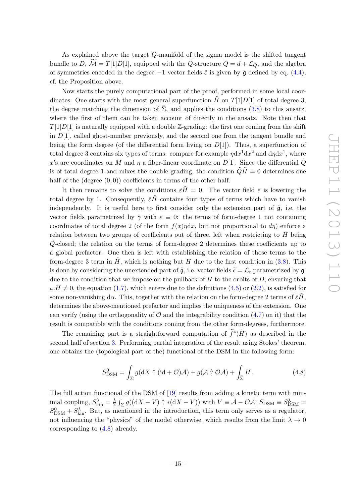As explained above the target Q-manifold of the sigma model is the shifted tangent bundle to D,  $\widetilde{\mathcal{M}} = T[1]D[1]$ , equipped with the Q-structure  $\widetilde{Q} = d + \mathcal{L}_O$ , and the algebra of symmetries encoded in the degree  $-1$  vector fields  $\tilde{\varepsilon}$  is given by  $\tilde{\mathfrak{g}}$  defined by eq. [\(4.4\)](#page-13-0), cf. the Proposition above.

Now starts the purely computational part of the proof, performed in some local coordinates. One starts with the most general superfunction H on  $T[1]D[1]$  of total degree 3, the degree matching the dimension of  $\Sigma$ , and applies the conditions ([3.8\)](#page-9-2) to this ansatz, where the first of them can be taken account of directly in the ansatz. Note then that  $T[1]D[1]$  is naturally equipped with a double Z-grading: the first one coming from the shift in  $D[1]$ , called ghost-number previously, and the second one from the tangent bundle and being the form degree (of the differential form living on  $D[1]$ ). Thus, a superfunction of total degree 3 contains six types of terms: compare for example  $\eta dx^1 dx^2$  and  $d\eta dx^1$ , where x's are coordinates on M and  $\eta$  a fiber-linear coordinate on D[1]. Since the differential  $\tilde{Q}$ is of total degree 1 and mixes the double grading, the condition  $\tilde{Q}\tilde{H} = 0$  determines one half of the (degree  $(0, 0)$ ) coefficients in terms of the other half.

It then remains to solve the conditions  $\tilde{\varepsilon}H = 0$ . The vector field  $\tilde{\varepsilon}$  is lowering the total degree by 1. Consequently,  $\tilde{\varepsilon}H$  contains four types of terms which have to vanish independently. It is useful here to first consider only the extension part of  $\tilde{\mathfrak{g}}$ , i.e. the vector fields parametrized by  $\tilde{\gamma}$  with  $\varepsilon \equiv 0$ : the terms of form-degree 1 not containing coordinates of total degree 2 (of the form  $f(x)$ ηdx, but not proportional to d<sub>n</sub>) enforce a relation between two groups of coefficients out of three, left when restricting to  $\hat{H}$  being  $Q$ -closed; the relation on the terms of form-degree 2 determines these coefficients up to a global prefactor. One then is left with establishing the relation of those terms to the form-degree 3 term in  $H$ , which is nothing but  $H$  due to the first condition in [\(3.8\)](#page-9-2). This is done by considering the unextended part of  $\tilde{\mathfrak{g}}$ , i.e. vector fields  $\tilde{\epsilon} = \mathcal{L}_{\epsilon}$  parametrized by g: due to the condition that we impose on the pullback of  $H$  to the orbits of  $D$ , ensuring that  $\iota_v H \neq 0$ , the equation [\(1.7\)](#page-3-1), which enters due to the definitions [\(4.5\)](#page-13-1) or [\(2.2\)](#page-6-2), is satisfied for some non-vanishing d $\alpha$ . This, together with the relation on the form-degree 2 terms of  $\tilde{\varepsilon}H$ , determines the above-mentioned prefactor and implies the uniqueness of the extension. One can verify (using the orthogonality of  $\mathcal O$  and the integrability condition [\(4.7\)](#page-14-1) on it) that the result is compatible with the conditions coming from the other form-degrees, furthermore.

The remaining part is a straightforward computation of  $\tilde{f}^*(\tilde{H})$  as described in the second half of section [3.](#page-6-0) Performing partial integration of the result using Stokes' theorem, one obtains the (topological part of the) functional of the DSM in the following form:

<span id="page-15-0"></span>
$$
S_{\text{DSM}}^0 = \int_{\Sigma} g(\mathrm{d}X \wedge (\mathrm{id} + \mathcal{O})\mathcal{A}) + g(\mathcal{A} \wedge \mathcal{O}\mathcal{A}) + \int_{\widetilde{\Sigma}} H. \tag{4.8}
$$

The full action functional of the DSM of [\[19\]](#page-18-17) results from adding a kinetic term with minimal coupling,  $S_{\text{kin}}^{\lambda} = \frac{\lambda}{2}$  $\frac{\lambda}{2} \int_{\Sigma} g((dX - V) \wedge * (dX - V))$  with  $V \equiv \mathcal{A} - \mathcal{O}\mathcal{A}$ ;  $S_{\text{DSM}} \equiv S_{\text{DSM}}^{\lambda} =$  $S_{\text{DSM}}^0 + S_{\text{kin}}^{\lambda}$ . But, as mentioned in the introduction, this term only serves as a regulator, not influencing the "physics" of the model otherwise, which results from the limit  $\lambda \to 0$ corresponding to [\(4.8\)](#page-15-0) already.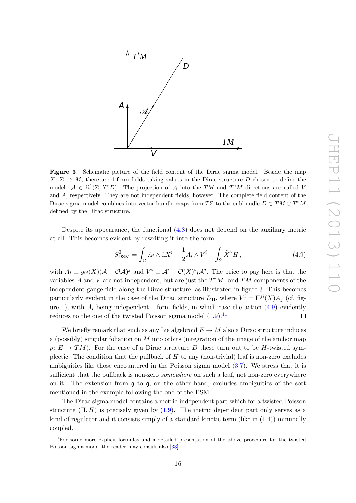

<span id="page-16-1"></span>Figure 3. Schematic picture of the field content of the Dirac sigma model. Beside the map  $X: \Sigma \to M$ , there are 1-form fields taking values in the Dirac structure D chosen to define the model:  $A \in \Omega^1(\Sigma, X^*D)$ . The projection of A into the TM and  $T^*M$  directions are called V and A, respectively. They are not independent fields, however. The complete field content of the Dirac sigma model combines into vector bundle maps from TΣ to the subbundle  $D \subset TM \oplus T^*M$ defined by the Dirac structure.

Despite its appearance, the functional [\(4.8\)](#page-15-0) does not depend on the auxiliary metric at all. This becomes evident by rewriting it into the form:

<span id="page-16-0"></span>
$$
S_{\text{DSM}}^0 = \int_{\Sigma} A_i \wedge \mathrm{d}X^i - \frac{1}{2} A_i \wedge V^i + \int_{\tilde{\Sigma}} \tilde{X}^* H , \qquad (4.9)
$$

with  $A_i \equiv g_{ij}(X)(\mathcal{A} - \mathcal{O}\mathcal{A})^j$  and  $V^i \equiv \mathcal{A}^i - \mathcal{O}(X)^i{}_j \mathcal{A}^j$ . The price to pay here is that the variables A and V are not independent, but are just the  $T^*M$ - and  $TM$ -components of the independent gauge field along the Dirac structure, as illustrated in figure [3.](#page-16-1) This becomes particularly evident in the case of the Dirac structure  $D_{\Pi}$ , where  $V^i = \Pi^{ji}(X)A_j$  (cf. fig-ure [1\)](#page-5-1), with  $A_i$  being independent 1-form fields, in which case the action  $(4.9)$  evidently reduces to the one of the twisted Poisson sigma model  $(1.9)$ .<sup>[11](#page-16-2)</sup> П

We briefly remark that such as any Lie algebroid  $E \to M$  also a Dirac structure induces a (possibly) singular foliation on  $M$  into orbits (integration of the image of the anchor map  $\rho: E \to TM$ ). For the case of a Dirac structure D these turn out to be H-twisted symplectic. The condition that the pullback of  $H$  to any (non-trivial) leaf is non-zero excludes ambiguities like those encountered in the Poisson sigma model [\(3.7\)](#page-9-3). We stress that it is sufficient that the pullback is non-zero *somewhere* on such a leaf, not non-zero everywhere on it. The extension from  $\mathfrak g$  to  $\widetilde{\mathfrak g}$ , on the other hand, excludes ambiguities of the sort mentioned in the example following the one of the PSM.

The Dirac sigma model contains a metric independent part which for a twisted Poisson structure  $(\Pi, H)$  is precisely given by  $(1.9)$ . The metric dependent part only serves as a kind of regulator and it consists simply of a standard kinetic term (like in  $(1.4)$ ) minimally coupled.

<span id="page-16-2"></span><sup>&</sup>lt;sup>11</sup>For some more explicit formulas and a detailed presentation of the above procedure for the twisted Poisson sigma model the reader may consult also [\[33\]](#page-19-12).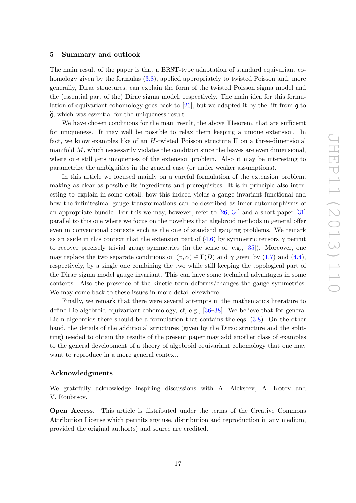#### <span id="page-17-0"></span>5 Summary and outlook

The main result of the paper is that a BRST-type adaptation of standard equivariant cohomology given by the formulas  $(3.8)$ , applied appropriately to twisted Poisson and, more generally, Dirac structures, can explain the form of the twisted Poisson sigma model and the (essential part of the) Dirac sigma model, respectively. The main idea for this formulation of equivariant cohomology goes back to [\[26\]](#page-19-5), but we adapted it by the lift from g to  $\tilde{\mathfrak{g}}$ , which was essential for the uniqueness result.

We have chosen conditions for the main result, the above Theorem, that are sufficient for uniqueness. It may well be possible to relax them keeping a unique extension. In fact, we know examples like of an  $H$ -twisted Poisson structure  $\Pi$  on a three-dimensional manifold M, which necessarily violates the condition since the leaves are even dimensional, where one still gets uniqueness of the extension problem. Also it may be interesting to parametrize the ambiguities in the general case (or under weaker assumptions).

In this article we focused mainly on a careful formulation of the extension problem, making as clear as possible its ingredients and prerequisites. It is in principle also interesting to explain in some detail, how this indeed yields a gauge invariant functional and how the infinitesimal gauge transformations can be described as inner automorphisms of an appropriate bundle. For this we may, however, refer to [\[26,](#page-19-5) [34\]](#page-19-13) and a short paper [\[31\]](#page-19-10) parallel to this one where we focus on the novelties that algebroid methods in general offer even in conventional contexts such as the one of standard gauging problems. We remark as an aside in this context that the extension part of  $(4.6)$  by symmetric tensors  $\gamma$  permit to recover precisely trivial gauge symmetries (in the sense of, e.g., [\[35\]](#page-19-14)). Moreover, one may replace the two separate conditions on  $(v, \alpha) \in \Gamma(D)$  and  $\gamma$  given by [\(1.7\)](#page-3-1) and [\(4.4\)](#page-13-0), respectively, by a single one combining the two while still keeping the topological part of the Dirac sigma model gauge invariant. This can have some technical advantages in some contexts. Also the presence of the kinetic term deforms/changes the gauge symmetries. We may come back to these issues in more detail elsewhere.

Finally, we remark that there were several attempts in the mathematics literature to define Lie algebroid equivariant cohomology, cf, e.g., [\[36–](#page-19-15)[38\]](#page-19-16). We believe that for general Lie n-algebroids there should be a formulation that contains the eqs. [\(3.8\)](#page-9-2). On the other hand, the details of the additional structures (given by the Dirac structure and the splitting) needed to obtain the results of the present paper may add another class of examples to the general development of a theory of algebroid equivariant cohomology that one may want to reproduce in a more general context.

#### Acknowledgments

We gratefully acknowledge inspiring discussions with A. Alekseev, A. Kotov and V. Roubtsov.

Open Access. This article is distributed under the terms of the Creative Commons Attribution License which permits any use, distribution and reproduction in any medium, provided the original author(s) and source are credited.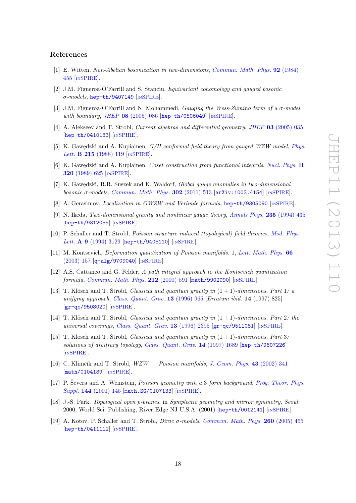#### References

- <span id="page-18-3"></span>[1] E. Witten, Non-Abelian bosonization in two-dimensions, [Commun. Math. Phys.](http://dx.doi.org/10.1007/BF01215276) 92 (1984) [455](http://dx.doi.org/10.1007/BF01215276) [IN[SPIRE](http://inspirehep.net/search?p=find+J+Comm.Math.Phys.,92,455)].
- <span id="page-18-0"></span>[2] J.M. Figueroa-O'Farrill and S. Stanciu, Equivariant cohomology and gauged bosonic σ-models, [hep-th/9407149](http://arxiv.org/abs/hep-th/9407149) [IN[SPIRE](http://inspirehep.net/search?p=find+EPRINT+hep-th/9407149)].
- <span id="page-18-1"></span>[3] J.M. Figueroa-O'Farrill and N. Mohammedi, Gauging the Wess-Zumino term of a  $\sigma$ -model with boundary, JHEP  $08$  [\(2005\) 086](http://dx.doi.org/10.1088/1126-6708/2005/08/086) [[hep-th/0506049](http://arxiv.org/abs/hep-th/0506049)] [IN[SPIRE](http://inspirehep.net/search?p=find+J+JHEP,0508,086)].
- <span id="page-18-2"></span>[4] A. Alekseev and T. Strobl, Current algebras and differential geometry, JHEP 03 [\(2005\) 035](http://dx.doi.org/10.1088/1126-6708/2005/03/035) [[hep-th/0410183](http://arxiv.org/abs/hep-th/0410183)] [IN[SPIRE](http://inspirehep.net/search?p=find+J+JHEP,0503,035)].
- <span id="page-18-4"></span>[5] K. Gawędzki and A. Kupiainen,  $G/H$  conformal field theory from gauged WZW model, [Phys.](http://dx.doi.org/10.1016/0370-2693(88)91081-7) Lett. **B 215** [\(1988\) 119](http://dx.doi.org/10.1016/0370-2693(88)91081-7) [IN[SPIRE](http://inspirehep.net/search?p=find+J+Phys.Lett.,B215,119)].
- <span id="page-18-5"></span>[6] K. Gawędzki and A. Kupiainen, *Coset construction from functional integrals*, *[Nucl. Phys.](http://dx.doi.org/10.1016/0550-3213(89)90015-1)* **B** 320 [\(1989\) 625](http://dx.doi.org/10.1016/0550-3213(89)90015-1) [IN[SPIRE](http://inspirehep.net/search?p=find+J+Nucl.Phys.,B320,625)].
- <span id="page-18-6"></span>[7] K. Gawędzki, R.R. Suszek and K. Waldorf, *Global gauge anomalies in two-dimensional* bosonic  $\sigma$ -models, [Commun. Math. Phys.](http://dx.doi.org/10.1007/s00220-010-1162-0) 302 (2011) 513  $\left[\text{arXiv:1003.4154}\right]$  $\left[\text{arXiv:1003.4154}\right]$  $\left[\text{arXiv:1003.4154}\right]$  [IN[SPIRE](http://inspirehep.net/search?p=find+J+Comm.Math.Phys.,302,513)].
- <span id="page-18-7"></span>[8] A. Gerasimov, *Localization in GWZW and Verlinde formula*, [hep-th/9305090](http://arxiv.org/abs/hep-th/9305090) [IN[SPIRE](http://inspirehep.net/search?p=find+EPRINT+hep-th/9305090)].
- <span id="page-18-8"></span>[9] N. Ikeda, Two-dimensional gravity and nonlinear gauge theory, [Annals Phys.](http://dx.doi.org/10.1006/aphy.1994.1104) 235 (1994) 435 [[hep-th/9312059](http://arxiv.org/abs/hep-th/9312059)] [IN[SPIRE](http://inspirehep.net/search?p=find+J+AnnalsPhys.,235,435)].
- <span id="page-18-9"></span>[10] P. Schaller and T. Strobl, Poisson structure induced (topological) field theories, [Mod. Phys.](http://dx.doi.org/10.1142/S0217732394002951) Lett. A 9 [\(1994\) 3129](http://dx.doi.org/10.1142/S0217732394002951) [[hep-th/9405110](http://arxiv.org/abs/hep-th/9405110)] [IN[SPIRE](http://inspirehep.net/search?p=find+J+Mod.Phys.Lett.,A9,3129)].
- <span id="page-18-10"></span>[11] M. Kontsevich, Deformation quantization of Poisson manifolds. 1, [Lett. Math. Phys.](http://dx.doi.org/10.1023/B:MATH.0000027508.00421.bf) 66 [\(2003\) 157](http://dx.doi.org/10.1023/B:MATH.0000027508.00421.bf) [[q-alg/9709040](http://arxiv.org/abs/q-alg/9709040)] [IN[SPIRE](http://inspirehep.net/search?p=find+J+Lett.Math.Phys.,66,157)].
- <span id="page-18-11"></span>[12] A.S. Cattaneo and G. Felder, A path integral approach to the Kontsevich quantization formula, [Commun. Math. Phys.](http://dx.doi.org/10.1007/s002200000229) 212 (2000) 591 [[math/9902090](http://arxiv.org/abs/math/9902090)] [IN[SPIRE](http://inspirehep.net/search?p=find+EPRINT+math/9902090)].
- <span id="page-18-12"></span>[13] T. Klösch and T. Strobl, *Classical and quantum gravity in*  $(1 + 1)$ -dimensions. Part 1: a unifying approach, [Class. Quant. Grav.](http://dx.doi.org/10.1088/0264-9381/13/5/015) 13 (1996) 965 [Erratum ibid. 14 (1997) 825] [[gr-qc/9508020](http://arxiv.org/abs/gr-qc/9508020)] [IN[SPIRE](http://inspirehep.net/search?p=find+J+Class.Quant.Grav.,13,965)].
- [14] T. Klösch and T. Strobl, *Classical and quantum gravity in*  $(1 + 1)$ -dimensions. Part 2: the universal coverings, [Class. Quant. Grav.](http://dx.doi.org/10.1088/0264-9381/13/9/007) 13 (1996) 2395 [[gr-qc/9511081](http://arxiv.org/abs/gr-qc/9511081)] [IN[SPIRE](http://inspirehep.net/search?p=find+J+Class.Quant.Grav.,13,2395)].
- <span id="page-18-13"></span>[15] T. Klösch and T. Strobl, *Classical and quantum gravity in*  $(1 + 1)$ -dimensions. Part 3: solutions of arbitrary topology, [Class. Quant. Grav.](http://dx.doi.org/10.1088/0264-9381/14/7/009) 14 (1997) 1689 [[hep-th/9607226](http://arxiv.org/abs/hep-th/9607226)] [IN[SPIRE](http://inspirehep.net/search?p=find+J+Class.Quant.Grav.,14,1689)].
- <span id="page-18-14"></span>[16] C. Klimčík and T. Strobl,  $WZW - Poisson$  manifolds, [J. Geom. Phys.](http://dx.doi.org/10.1016/S0393-0440(02)00027-X) 43 (2002) 341 [[math/0104189](http://arxiv.org/abs/math/0104189)] [IN[SPIRE](http://inspirehep.net/search?p=find+J+J.Geom.Phys.,43,341)].
- <span id="page-18-15"></span>[17] P. Ševera and A. Weinstein, *Poisson geometry with a 3 form background*, *[Prog. Theor. Phys.](http://dx.doi.org/10.1143/PTPS.144.145)* Suppl. 144 [\(2001\) 145](http://dx.doi.org/10.1143/PTPS.144.145) [[math.SG/0107133](http://arxiv.org/abs/math.SG/0107133)] [IN[SPIRE](http://inspirehep.net/search?p=find+J+Prog.Theor.Phys.Suppl.,144,145)].
- <span id="page-18-16"></span>[18] J.-S. Park, Topological open p-branes, in Symplectic geometry and mirror symmetry, Seoul 2000, World Sci. Publishing, River Edge NJ U.S.A. (2001) [[hep-th/0012141](http://arxiv.org/abs/hep-th/0012141)] [IN[SPIRE](http://inspirehep.net/search?p=find+EPRINT+hep-th/0012141)].
- <span id="page-18-17"></span>[19] A. Kotov, P. Schaller and T. Strobl, *Dirac*  $\sigma$ *-models, [Commun. Math. Phys.](http://dx.doi.org/10.1007/s00220-005-1416-4)* **260** (2005) 455  $[hep-th/0411112]$  $[hep-th/0411112]$  $[hep-th/0411112]$   $[INSPIRE]$  $[INSPIRE]$  $[INSPIRE]$ .